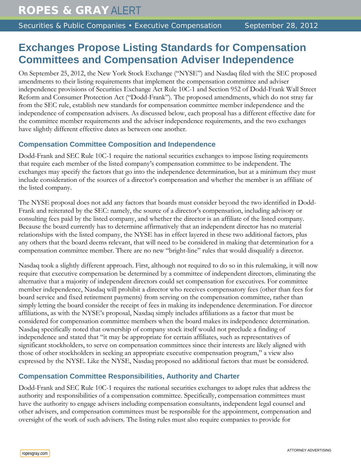# **Exchanges Propose Listing Standards for Compensation Committees and Compensation Adviser Independence**

On September 25, 2012, the New York Stock Exchange ("NYSE") and Nasdaq filed with the SEC proposed amendments to their listing requirements that implement the compensation committee and adviser independence provisions of Securities Exchange Act Rule 10C-1 and Section 952 of Dodd-Frank Wall Street Reform and Consumer Protection Act ("Dodd-Frank"). The proposed amendments, which do not stray far from the SEC rule, establish new standards for compensation committee member independence and the independence of compensation advisers. As discussed below, each proposal has a different effective date for the committee member requirements and the adviser independence requirements, and the two exchanges have slightly different effective dates as between one another.

## **Compensation Committee Composition and Independence**

Dodd-Frank and SEC Rule 10C-1 require the national securities exchanges to impose listing requirements that require each member of the listed company's compensation committee to be independent. The exchanges may specify the factors that go into the independence determination, but at a minimum they must include consideration of the sources of a director's compensation and whether the member is an affiliate of the listed company.

The NYSE proposal does not add any factors that boards must consider beyond the two identified in Dodd-Frank and reiterated by the SEC: namely, the source of a director's compensation, including advisory or consulting fees paid by the listed company, and whether the director is an affiliate of the listed company. Because the board currently has to determine affirmatively that an independent director has no material relationships with the listed company, the NYSE has in effect layered in these two additional factors, plus any others that the board deems relevant, that will need to be considered in making that determination for a compensation committee member. There are no new "bright-line" rules that would disqualify a director.

Nasdaq took a slightly different approach. First, although not required to do so in this rulemaking, it will now require that executive compensation be determined by a committee of independent directors, eliminating the alternative that a majority of independent directors could set compensation for executives. For committee member independence, Nasdaq will prohibit a director who receives compensatory fees (other than fees for board service and fixed retirement payments) from serving on the compensation committee, rather than simply letting the board consider the receipt of fees in making its independence determination. For director affiliations, as with the NYSE's proposal, Nasdaq simply includes affiliations as a factor that must be considered for compensation committee members when the board makes its independence determination. Nasdaq specifically noted that ownership of company stock itself would not preclude a finding of independence and stated that "it may be appropriate for certain affiliates, such as representatives of significant stockholders, to serve on compensation committees since their interests are likely aligned with those of other stockholders in seeking an appropriate executive compensation program," a view also expressed by the NYSE. Like the NYSE, Nasdaq proposed no additional factors that must be considered.

## **Compensation Committee Responsibilities, Authority and Charter**

Dodd-Frank and SEC Rule 10C-1 requires the national securities exchanges to adopt rules that address the authority and responsibilities of a compensation committee. Specifically, compensation committees must have the authority to engage advisers including compensation consultants, independent legal counsel and other advisers, and compensation committees must be responsible for the appointment, compensation and oversight of the work of such advisers. The listing rules must also require companies to provide for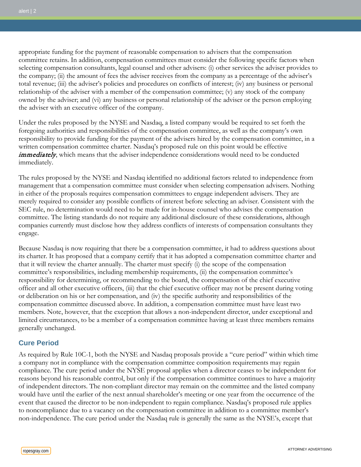appropriate funding for the payment of reasonable compensation to advisers that the compensation committee retains. In addition, compensation committees must consider the following specific factors when selecting compensation consultants, legal counsel and other advisers: (i) other services the adviser provides to the company; (ii) the amount of fees the adviser receives from the company as a percentage of the adviser's total revenue; (iii) the adviser's policies and procedures on conflicts of interest; (iv) any business or personal relationship of the adviser with a member of the compensation committee; (v) any stock of the company owned by the adviser; and (vi) any business or personal relationship of the adviser or the person employing the adviser with an executive officer of the company.

Under the rules proposed by the NYSE and Nasdaq, a listed company would be required to set forth the foregoing authorities and responsibilities of the compensation committee, as well as the company's own responsibility to provide funding for the payment of the advisers hired by the compensation committee, in a written compensation committee charter. Nasdaq's proposed rule on this point would be effective *immediately*, which means that the adviser independence considerations would need to be conducted immediately.

The rules proposed by the NYSE and Nasdaq identified no additional factors related to independence from management that a compensation committee must consider when selecting compensation advisers. Nothing in either of the proposals requires compensation committees to engage independent advisers. They are merely required to consider any possible conflicts of interest before selecting an adviser. Consistent with the SEC rule, no determination would need to be made for in-house counsel who advises the compensation committee. The listing standards do not require any additional disclosure of these considerations, although companies currently must disclose how they address conflicts of interests of compensation consultants they engage.

Because Nasdaq is now requiring that there be a compensation committee, it had to address questions about its charter. It has proposed that a company certify that it has adopted a compensation committee charter and that it will review the charter annually. The charter must specify (i) the scope of the compensation committee's responsibilities, including membership requirements, (ii) the compensation committee's responsibility for determining, or recommending to the board, the compensation of the chief executive officer and all other executive officers, (iii) that the chief executive officer may not be present during voting or deliberation on his or her compensation, and (iv) the specific authority and responsibilities of the compensation committee discussed above. In addition, a compensation committee must have least two members. Note, however, that the exception that allows a non-independent director, under exceptional and limited circumstances, to be a member of a compensation committee having at least three members remains generally unchanged.

#### **Cure Period**

As required by Rule 10C-1, both the NYSE and Nasdaq proposals provide a "cure period" within which time a company not in compliance with the compensation committee composition requirements may regain compliance. The cure period under the NYSE proposal applies when a director ceases to be independent for reasons beyond his reasonable control, but only if the compensation committee continues to have a majority of independent directors. The non-compliant director may remain on the committee and the listed company would have until the earlier of the next annual shareholder's meeting or one year from the occurrence of the event that caused the director to be non-independent to regain compliance. Nasdaq's proposed rule applies to noncompliance due to a vacancy on the compensation committee in addition to a committee member's non-independence. The cure period under the Nasdaq rule is generally the same as the NYSE's, except that